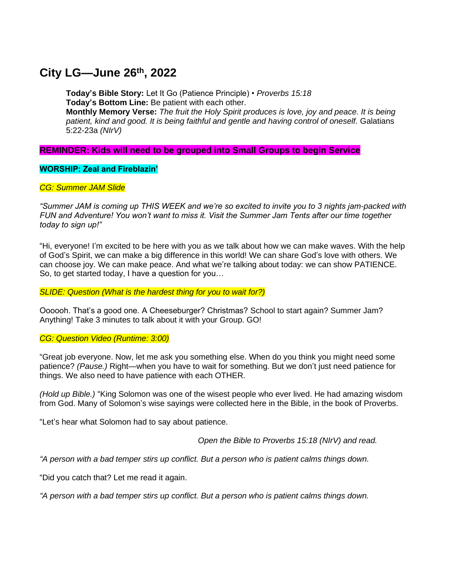# **City LG—June 26th , 2022**

**Today's Bible Story:** Let It Go (Patience Principle) • *Proverbs 15:18* **Today's Bottom Line:** Be patient with each other. **Monthly Memory Verse:** *The fruit the Holy Spirit produces is love, joy and peace. It is being*  patient, kind and good. It is being faithful and gentle and having control of oneself. Galatians

### **REMINDER: Kids will need to be grouped into Small Groups to begin Service**

#### **WORSHIP: Zeal and Fireblazin'**

5:22-23a *(NIrV)*

#### *CG: Summer JAM Slide*

*"Summer JAM is coming up THIS WEEK and we're so excited to invite you to 3 nights jam-packed with FUN and Adventure! You won't want to miss it. Visit the Summer Jam Tents after our time together today to sign up!"*

"Hi, everyone! I'm excited to be here with you as we talk about how we can make waves. With the help of God's Spirit, we can make a big difference in this world! We can share God's love with others. We can choose joy. We can make peace. And what we're talking about today: we can show PATIENCE. So, to get started today, I have a question for you…

*SLIDE: Question (What is the hardest thing for you to wait for?)*

Oooooh. That's a good one. A Cheeseburger? Christmas? School to start again? Summer Jam? Anything! Take 3 minutes to talk about it with your Group. GO!

#### *CG: Question Video (Runtime: 3:00)*

"Great job everyone. Now, let me ask you something else. When do you think you might need some patience? *(Pause.)* Right—when you have to wait for something. But we don't just need patience for things. We also need to have patience with each OTHER.

*(Hold up Bible.)* "King Solomon was one of the wisest people who ever lived. He had amazing wisdom from God. Many of Solomon's wise sayings were collected here in the Bible, in the book of Proverbs.

"Let's hear what Solomon had to say about patience.

*Open the Bible to Proverbs 15:18 (NIrV) and read.*

*"A person with a bad temper stirs up conflict. But a person who is patient calms things down.*

"Did you catch that? Let me read it again.

*"A person with a bad temper stirs up conflict. But a person who is patient calms things down.*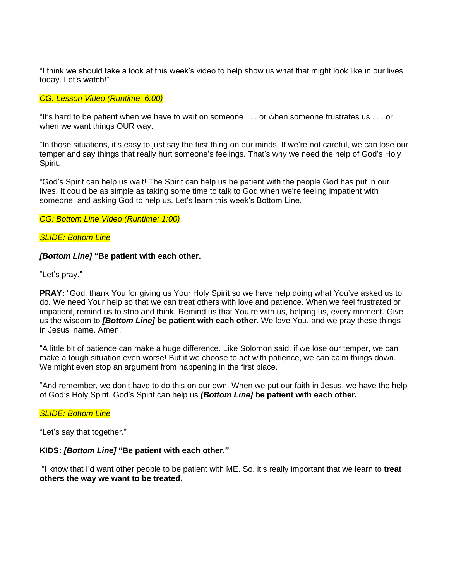"I think we should take a look at this week's video to help show us what that might look like in our lives today. Let's watch!"

#### *CG: Lesson Video (Runtime: 6:00)*

"It's hard to be patient when we have to wait on someone . . . or when someone frustrates us . . . or when we want things OUR way.

"In those situations, it's easy to just say the first thing on our minds. If we're not careful, we can lose our temper and say things that really hurt someone's feelings. That's why we need the help of God's Holy Spirit.

"God's Spirit can help us wait! The Spirit can help us be patient with the people God has put in our lives. It could be as simple as taking some time to talk to God when we're feeling impatient with someone, and asking God to help us. Let's learn this week's Bottom Line.

#### *CG: Bottom Line Video (Runtime: 1:00)*

#### *SLIDE: Bottom Line*

#### *[Bottom Line]* **"Be patient with each other.**

"Let's pray."

**PRAY:** "God, thank You for giving us Your Holy Spirit so we have help doing what You've asked us to do. We need Your help so that we can treat others with love and patience. When we feel frustrated or impatient, remind us to stop and think. Remind us that You're with us, helping us, every moment. Give us the wisdom to *[Bottom Line]* **be patient with each other.** We love You, and we pray these things in Jesus' name. Amen."

"A little bit of patience can make a huge difference. Like Solomon said, if we lose our temper, we can make a tough situation even worse! But if we choose to act with patience, we can calm things down. We might even stop an argument from happening in the first place.

"And remember, we don't have to do this on our own. When we put our faith in Jesus, we have the help of God's Holy Spirit. God's Spirit can help us *[Bottom Line]* **be patient with each other.**

#### *SLIDE: Bottom Line*

"Let's say that together."

#### **KIDS:** *[Bottom Line]* **"Be patient with each other."**

"I know that I'd want other people to be patient with ME. So, it's really important that we learn to **treat others the way we want to be treated.**